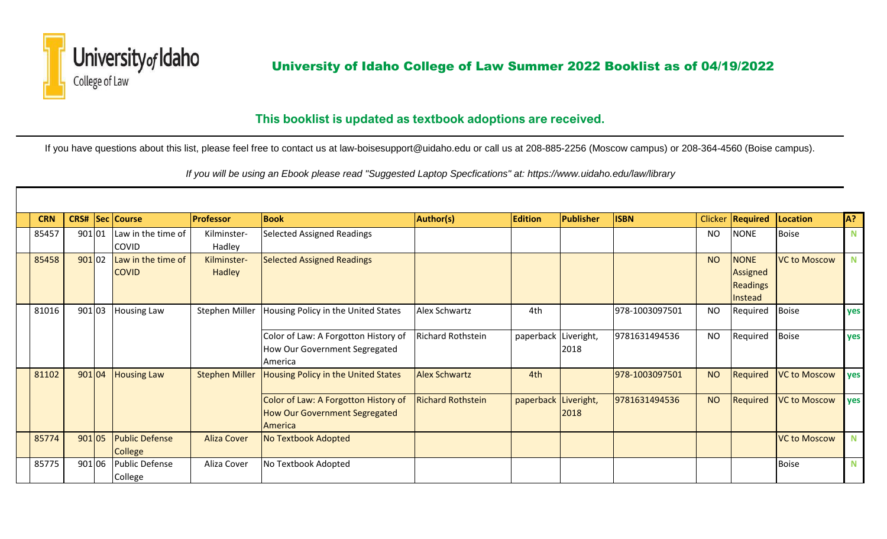

## University of Idaho<br>College of Law<br>College of Law

## **This booklist is updated as textbook adoptions are received.**

If you have questions about this list, please feel free to contact us at law-boisesupport@uidaho.edu or call us at 208-885-2256 (Moscow campus) or 208-364-4560 (Boise campus).

 *If you will be using an Ebook please read "Suggested Laptop Specfications" at: https://www.uidaho.edu/law/library*

| <b>CRN</b> |        | <b>CRS# Sec Course</b> | <b>Professor</b>      | <b>Book</b>                                | <b>Author(s)</b>         | <b>Edition</b>       | Publisher | <b>ISBN</b>    |           | Clicker   Required | Location            | IA?         |
|------------|--------|------------------------|-----------------------|--------------------------------------------|--------------------------|----------------------|-----------|----------------|-----------|--------------------|---------------------|-------------|
| 85457      | 901 01 | Law in the time of     | Kilminster-           | <b>Selected Assigned Readings</b>          |                          |                      |           |                | <b>NO</b> | <b>NONE</b>        | Boise               | N.          |
|            |        | <b>COVID</b>           | Hadley                |                                            |                          |                      |           |                |           |                    |                     |             |
| 85458      | 90102  | Law in the time of     | Kilminster-           | <b>Selected Assigned Readings</b>          |                          |                      |           |                | <b>NO</b> | <b>NONE</b>        | <b>VC to Moscow</b> | N           |
|            |        | <b>COVID</b>           | Hadley                |                                            |                          |                      |           |                |           | Assigned           |                     |             |
|            |        |                        |                       |                                            |                          |                      |           |                |           | <b>Readings</b>    |                     |             |
|            |        |                        |                       |                                            |                          |                      |           |                |           | Instead            |                     |             |
| 81016      | 901 03 | Housing Law            | Stephen Miller        | Housing Policy in the United States        | Alex Schwartz            | 4th                  |           | 978-1003097501 | <b>NO</b> | Required           | Boise               | yes         |
|            |        |                        |                       |                                            |                          |                      |           |                |           |                    |                     |             |
|            |        |                        |                       | Color of Law: A Forgotton History of       | Richard Rothstein        | paperback Liveright, |           | 9781631494536  | <b>NO</b> | Required           | Boise               | yes         |
|            |        |                        |                       | How Our Government Segregated              |                          |                      | 2018      |                |           |                    |                     |             |
|            |        |                        |                       | America                                    |                          |                      |           |                |           |                    |                     |             |
| 81102      | 901 04 | <b>Housing Law</b>     | <b>Stephen Miller</b> | <b>Housing Policy in the United States</b> | <b>Alex Schwartz</b>     | 4th                  |           | 978-1003097501 | <b>NO</b> | Required           | <b>VC to Moscow</b> | yes         |
|            |        |                        |                       |                                            |                          |                      |           |                |           |                    |                     |             |
|            |        |                        |                       | Color of Law: A Forgotton History of       | <b>Richard Rothstein</b> | paperback Liveright, |           | 9781631494536  | <b>NO</b> | Required           | <b>VC to Moscow</b> | yes         |
|            |        |                        |                       | How Our Government Segregated              |                          |                      | 2018      |                |           |                    |                     |             |
|            |        |                        |                       | America                                    |                          |                      |           |                |           |                    |                     |             |
| 85774      | 901 05 | <b>Public Defense</b>  | <b>Aliza Cover</b>    | <b>No Textbook Adopted</b>                 |                          |                      |           |                |           |                    | <b>VC to Moscow</b> | N           |
|            |        | <b>College</b>         |                       |                                            |                          |                      |           |                |           |                    |                     |             |
| 85775      | 901 06 | <b>Public Defense</b>  | Aliza Cover           | No Textbook Adopted                        |                          |                      |           |                |           |                    | <b>Boise</b>        | $\mathbf N$ |
|            |        | College                |                       |                                            |                          |                      |           |                |           |                    |                     |             |